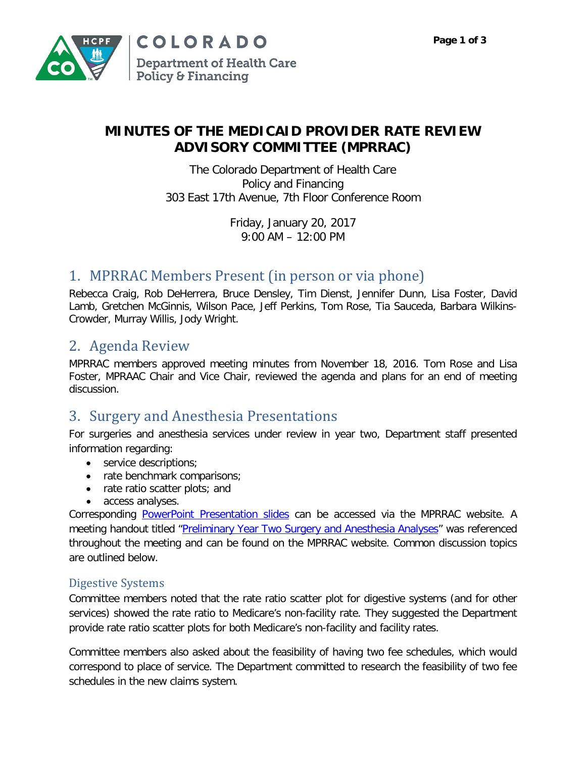

## **MINUTES OF THE MEDICAID PROVIDER RATE REVIEW ADVISORY COMMITTEE (MPRRAC)**

The Colorado Department of Health Care Policy and Financing 303 East 17th Avenue, 7th Floor Conference Room

> Friday, January 20, 2017 9:00 AM – 12:00 PM

# 1. MPRRAC Members Present (in person or via phone)

Rebecca Craig, Rob DeHerrera, Bruce Densley, Tim Dienst, Jennifer Dunn, Lisa Foster, David Lamb, Gretchen McGinnis, Wilson Pace, Jeff Perkins, Tom Rose, Tia Sauceda, Barbara Wilkins-Crowder, Murray Willis, Jody Wright.

# 2. Agenda Review

MPRRAC members approved meeting minutes from November 18, 2016. Tom Rose and Lisa Foster, MPRAAC Chair and Vice Chair, reviewed the agenda and plans for an end of meeting discussion.

## 3. Surgery and Anesthesia Presentations

For surgeries and anesthesia services under review in year two, Department staff presented information regarding:

- service descriptions;
- rate benchmark comparisons;
- rate ratio scatter plots; and
- access analyses.

Corresponding [PowerPoint Presentation slides](https://www.colorado.gov/pacific/sites/default/files/Medicaid%20Provider%20Rate%20Review%20Advisory%20Committee%20Presentation%20January%202017.pdf) can be accessed via the MPRRAC website. A meeting handout titled ["Preliminary Year Two Surgery and Anesthesia Analyses"](https://www.colorado.gov/pacific/sites/default/files/MPRRAC%20Handout%20-%20Preliminary%20Year%20Two%20Surgery%20and%20Anesthesia%20Analyses.pdf) was referenced throughout the meeting and can be found on the MPRRAC website. Common discussion topics are outlined below.

## Digestive Systems

Committee members noted that the rate ratio scatter plot for digestive systems (and for other services) showed the rate ratio to Medicare's non-facility rate. They suggested the Department provide rate ratio scatter plots for both Medicare's non-facility and facility rates.

Committee members also asked about the feasibility of having two fee schedules, which would correspond to place of service. The Department committed to research the feasibility of two fee schedules in the new claims system.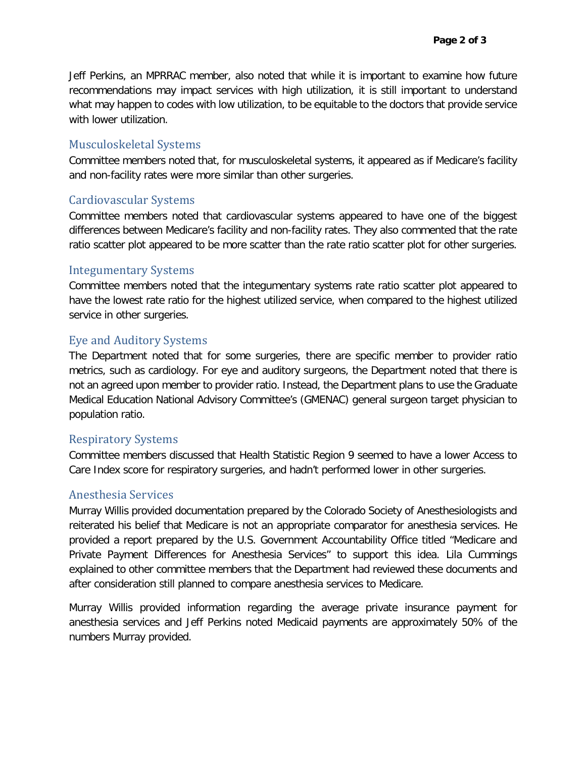Jeff Perkins, an MPRRAC member, also noted that while it is important to examine how future recommendations may impact services with high utilization, it is still important to understand what may happen to codes with low utilization, to be equitable to the doctors that provide service with lower utilization.

## Musculoskeletal Systems

Committee members noted that, for musculoskeletal systems, it appeared as if Medicare's facility and non-facility rates were more similar than other surgeries.

## Cardiovascular Systems

Committee members noted that cardiovascular systems appeared to have one of the biggest differences between Medicare's facility and non-facility rates. They also commented that the rate ratio scatter plot appeared to be more scatter than the rate ratio scatter plot for other surgeries.

#### Integumentary Systems

Committee members noted that the integumentary systems rate ratio scatter plot appeared to have the lowest rate ratio for the highest utilized service, when compared to the highest utilized service in other surgeries.

## Eye and Auditory Systems

The Department noted that for some surgeries, there are specific member to provider ratio metrics, such as cardiology. For eye and auditory surgeons, the Department noted that there is not an agreed upon member to provider ratio. Instead, the Department plans to use the Graduate Medical Education National Advisory Committee's (GMENAC) general surgeon target physician to population ratio.

## Respiratory Systems

Committee members discussed that Health Statistic Region 9 seemed to have a lower Access to Care Index score for respiratory surgeries, and hadn't performed lower in other surgeries.

## Anesthesia Services

Murray Willis provided documentation prepared by the Colorado Society of Anesthesiologists and reiterated his belief that Medicare is not an appropriate comparator for anesthesia services. He provided a report prepared by the U.S. Government Accountability Office titled "Medicare and Private Payment Differences for Anesthesia Services" to support this idea. Lila Cummings explained to other committee members that the Department had reviewed these documents and after consideration still planned to compare anesthesia services to Medicare.

Murray Willis provided information regarding the average private insurance payment for anesthesia services and Jeff Perkins noted Medicaid payments are approximately 50% of the numbers Murray provided.